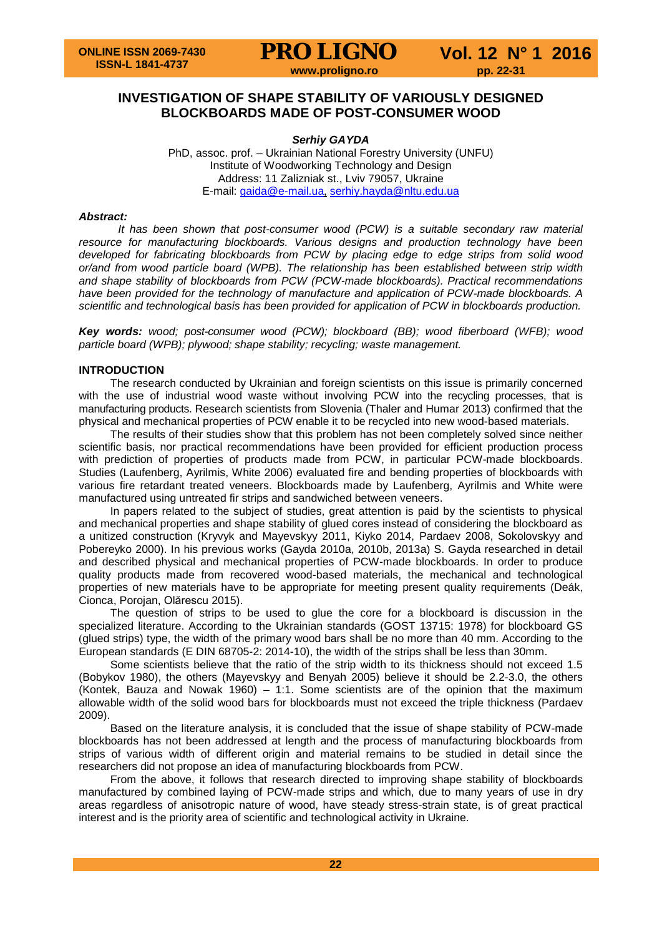

## **INVESTIGATION OF SHAPE STABILITY OF VARIOUSLY DESIGNED BLOCKBOARDS MADE OF POST-CONSUMER WOOD**

*Serhiy GAYDA* PhD, assoc. prof. – Ukrainian National Forestry University (UNFU) Institute of Woodworking Technology and Design Address: 11 Zalizniak st., Lviv 79057, Ukraine E-mail: [gaida@e-mail.ua](mailto:gaida@e-mail.ua), [serhiy.hayda@nltu.edu.ua](mailto:serhiy.hayda@nltu.edu.ua)

#### *Abstract:*

*It has been shown that post-consumer wood (PCW) is a suitable secondary raw material resource for manufacturing blockboards. Various designs and production technology have been developed for fabricating blockboards from PCW by placing edge to edge strips from solid wood or/and from wood particle board (WPB). The relationship has been established between strip width and shape stability of blockboards from PCW (PCW-made blockboards). Practical recommendations have been provided for the technology of manufacture and application of PCW-made blockboards. A scientific and technological basis has been provided for application of PCW in blockboards production.*

*Key words: wood; post-consumer wood (PCW); blockboard (BB); wood fiberboard (WFB); wood particle board (WPB); plywood; shape stability; recycling; waste management.*

## **INTRODUCTION**

The research conducted by Ukrainian and foreign scientists on this issue is primarily concerned with the use of industrial wood waste without involving PCW into the recycling processes, that is manufacturing products. Research scientists from Slovenia (Thaler and Humar 2013) confirmed that the physical and mechanical properties of PCW enable it to be recycled into new wood-based materials.

The results of their studies show that this problem has not been completely solved since neither scientific basis, nor practical recommendations have been provided for efficient production process with prediction of properties of products made from PCW, in particular PCW-made blockboards. Studies (Laufenberg, Ayrilmis, White 2006) evaluated fire and bending properties of blockboards with various fire retardant treated veneers. Blockboards made by Laufenberg, Ayrilmis and White were manufactured using untreated fir strips and sandwiched between veneers.

In papers related to the subject of studies, great attention is paid by the scientists to physical and mechanical properties and shape stability of glued cores instead of considering the blockboard as a unitized construction (Kryvyk and Mayevskyy 2011, Kiyko 2014, Pardaev 2008, Sokolovskyy and Pobereyko 2000). In his previous works (Gayda 2010a, 2010b, 2013a) S. Gayda researched in detail and described physical and mechanical properties of PCW-made blockboards. In order to produce quality products made from recovered wood-based materials, the mechanical and technological properties of new materials have to be appropriate for meeting present quality requirements (Deák, Cionca, Porojan, Olărescu 2015).

The question of strips to be used to glue the core for a blockboard is discussion in the specialized literature. According to the Ukrainian standards (GOST 13715: 1978) for blockboard GS (glued strips) type, the width of the primary wood bars shall be no more than 40 mm. According to the European standards (E DIN 68705-2: 2014-10), the width of the strips shall be less than 30mm.

Some scientists believe that the ratio of the strip width to its thickness should not exceed 1.5 (Bobykov 1980), the others (Mayevskyy and Benyah 2005) believe it should be 2.2-3.0, the others (Kontek, Bauza and Nowak 1960) – 1:1. Some scientists are of the opinion that the maximum allowable width of the solid wood bars for blockboards must not exceed the triple thickness (Pardaev 2009).

Based on the literature analysis, it is concluded that the issue of shape stability of PCW-made blockboards has not been addressed at length and the process of manufacturing blockboards from strips of various width of different origin and material remains to be studied in detail since the researchers did not propose an idea of manufacturing blockboards from PCW.

From the above, it follows that research directed to improving shape stability of blockboards manufactured by combined laying of PCW-made strips and which, due to many years of use in dry areas regardless of anisotropic nature of wood, have steady stress-strain state, is of great practical interest and is the priority area of scientific and technological activity in Ukraine.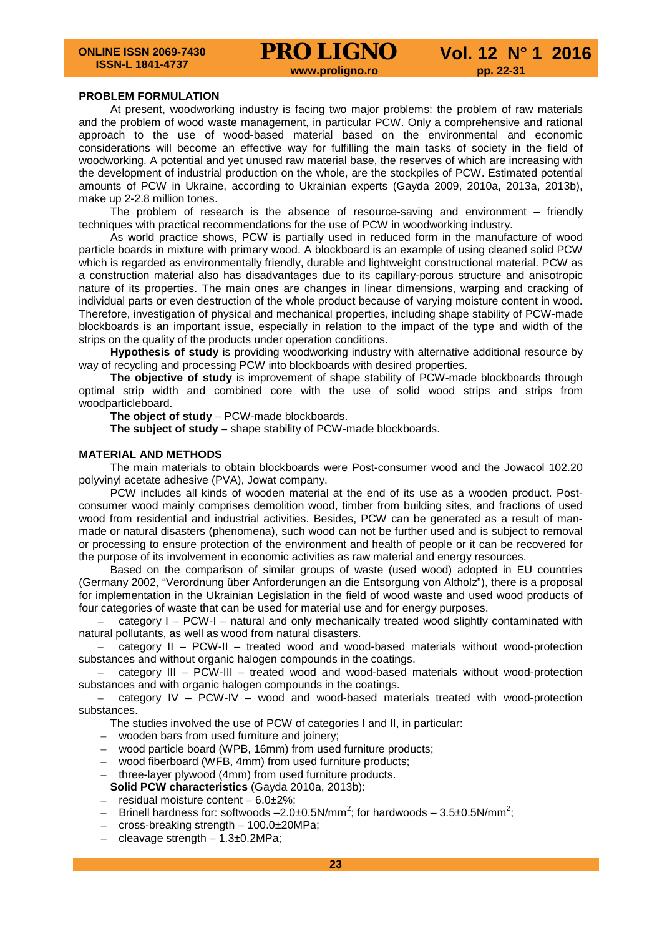#### **PROBLEM FORMULATION**

At present, woodworking industry is facing two major problems: the problem of raw materials and the problem of wood waste management, in particular PCW. Only a comprehensive and rational approach to the use of wood-based material based on the environmental and economic considerations will become an effective way for fulfilling the main tasks of society in the field of woodworking. A potential and yet unused raw material base, the reserves of which are increasing with the development of industrial production on the whole, are the stockpiles of PCW. Estimated potential amounts of PCW in Ukraine, according to Ukrainian experts (Gayda 2009, 2010a, 2013a, 2013b), make up 2-2.8 million tones.

The problem of research is the absence of resource-saving and environment – friendly techniques with practical recommendations for the use of PCW in woodworking industry.

As world practice shows, PCW is partially used in reduced form in the manufacture of wood particle boards in mixture with primary wood. A blockboard is an example of using cleaned solid PCW which is regarded as environmentally friendly, durable and lightweight constructional material. PCW as a construction material also has disadvantages due to its capillary-porous structure and anisotropic nature of its properties. The main ones are changes in linear dimensions, warping and cracking of individual parts or even destruction of the whole product because of varying moisture content in wood. Therefore, investigation of physical and mechanical properties, including shape stability of PCW-made blockboards is an important issue, especially in relation to the impact of the type and width of the strips on the quality of the products under operation conditions.

**Hypothesis of study** is providing woodworking industry with alternative additional resource by way of recycling and processing PCW into blockboards with desired properties.

**The objective of study** is improvement of shape stability of PCW-made blockboards through optimal strip width and combined core with the use of solid wood strips and strips from woodparticleboard.

The object of study - PCW-made blockboards.

**The subject of study –** shape stability of PCW-made blockboards.

#### **MATERIAL AND METHODS**

The main materials to obtain blockboards were Post-consumer wood and the Jowacol 102.20 polyvinyl acetate adhesive (PVA), Jowat company.

PCW includes all kinds of wooden material at the end of its use as a wooden product. Postconsumer wood mainly comprises demolition wood, timber from building sites, and fractions of used wood from residential and industrial activities. Besides, PCW can be generated as a result of manmade or natural disasters (phenomena), such wood can not be further used and is subject to removal or processing to ensure protection of the environment and health of people or it can be recovered for the purpose of its involvement in economic activities as raw material and energy resources.

Based on the comparison of similar groups of waste (used wood) adopted in EU countries (Germany 2002, "Verordnung über Anforderungen an die Entsorgung von Altholz"), there is a proposal for implementation in the Ukrainian Legislation in the field of wood waste and used wood products of four categories of waste that can be used for material use and for energy purposes.

– category I – PCW-I – natural and only mechanically treated wood slightly contaminated with natural pollutants, as well as wood from natural disasters.

– category II – PCW-II – treated wood and wood-based materials without wood-protection substances and without organic halogen compounds in the coatings.

– category III – PCW-III – treated wood and wood-based materials without wood-protection substances and with organic halogen compounds in the coatings.

– category IV – PCW-IV – wood and wood-based materials treated with wood-protection substances.

The studies involved the use of PCW of categories I and II, in particular:

- wooden bars from used furniture and joinery;
- wood particle board (WPB, 16mm) from used furniture products;
- wood fiberboard (WFB, 4mm) from used furniture products;
- three-layer plywood (4mm) from used furniture products.

**Solid PCW characteristics** (Gayda 2010a, 2013b):

- $-$  residual moisture content  $-6.0\pm2\%$ ;
- $-$  Brinell hardness for: softwoods –2.0±0.5N/mm<sup>2</sup>; for hardwoods 3.5±0.5N/mm<sup>2</sup>;
- cross-breaking strength 100.0±20MPa;
- $-$  cleavage strength  $-$  1.3 $\pm$ 0.2MPa;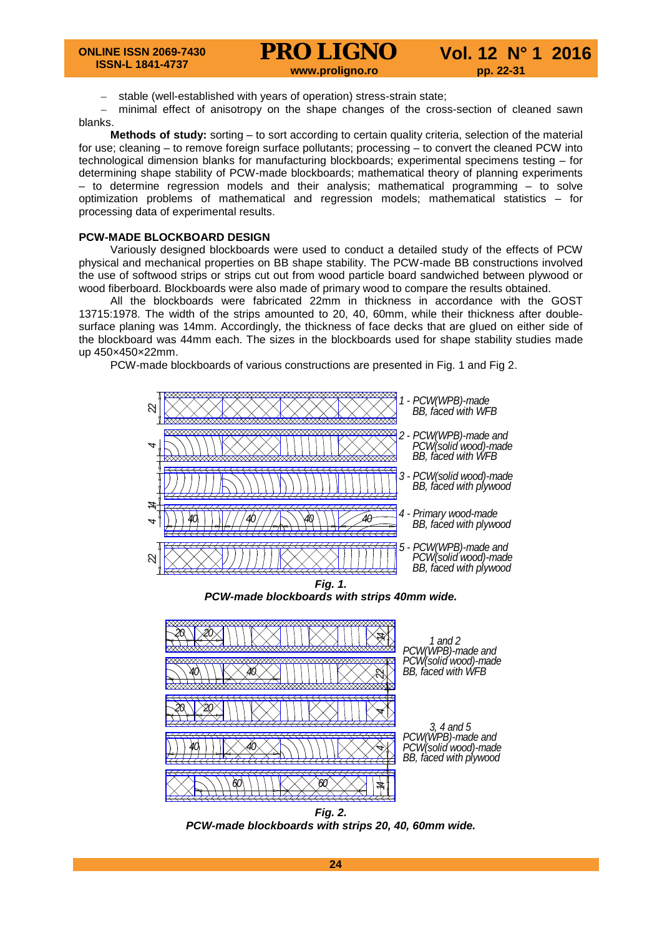– stable (well-established with years of operation) stress-strain state;

– minimal effect of anisotropy on the shape changes of the cross-section of cleaned sawn blanks.

**Methods of study:** sorting – to sort according to certain quality criteria, selection of the material for use; cleaning – to remove foreign surface pollutants; processing – to convert the cleaned PCW into technological dimension blanks for manufacturing blockboards; experimental specimens testing – for determining shape stability of PCW-made blockboards; mathematical theory of planning experiments – to determine regression models and their analysis; mathematical programming – to solve optimization problems of mathematical and regression models; mathematical statistics – for processing data of experimental results.

#### **PCW-MADE BLOCKBOARD DESIGN**

Variously designed blockboards were used to conduct a detailed study of the effects of PCW physical and mechanical properties on BB shape stability. The PCW-made BB constructions involved the use of softwood strips or strips cut out from wood particle board sandwiched between plywood or wood fiberboard. Blockboards were also made of primary wood to compare the results obtained.

All the blockboards were fabricated 22mm in thickness in accordance with the GOST 13715:1978. The width of the strips amounted to 20, 40, 60mm, while their thickness after doublesurface planing was 14mm. Accordingly, the thickness of face decks that are glued on either side of the blockboard was 44mm each. The sizes in the blockboards used for shape stability studies made up 450×450×22mm.

PCW-made blockboards of various constructions are presented in Fig. 1 and Fig 2.



*PCW-made blockboards with strips 40mm wide.* 



*1 a n d 2*   $PCW(WPB)$ -made and  $PCW$ (solid wood)-made **BB**, faced with WFB

 *3 , 4 a n d 5 PCW(WPB)-made and PCW*(solid wood)-made *BB, faced with plywood* 

*Fig. 2. PCW-made blockboards with strips 20, 40, 60mm wide.*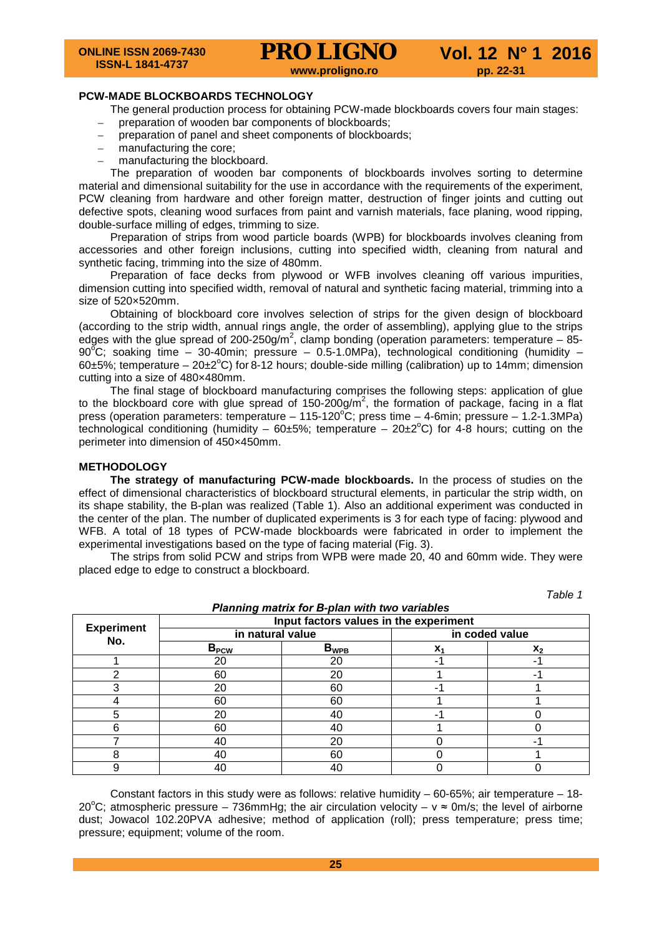*Таble 1*

#### **PCW-MADE BLOCKBOARDS TECHNOLOGY**

The general production process for obtaining PCW-made blockboards covers four main stages:

- preparation of wooden bar components of blockboards;
- preparation of panel and sheet components of blockboards;
- manufacturing the core;
- manufacturing the blockboard.

The preparation of wooden bar components of blockboards involves sorting to determine material and dimensional suitability for the use in accordance with the requirements of the experiment, PCW cleaning from hardware and other foreign matter, destruction of finger joints and cutting out defective spots, cleaning wood surfaces from paint and varnish materials, face planing, wood ripping, double-surface milling of edges, trimming to size.

Preparation of strips from wood particle boards (WPB) for blockboards involves cleaning from accessories and other foreign inclusions, cutting into specified width, cleaning from natural and synthetic facing, trimming into the size of 480mm.

Preparation of face decks from plywood or WFB involves cleaning off various impurities, dimension cutting into specified width, removal of natural and synthetic facing material, trimming into a size of 520×520mm.

Obtaining of blockboard core involves selection of strips for the given design of blockboard (according to the strip width, annual rings angle, the order of assembling), applying glue to the strips edges with the glue spread of 200-250g/m<sup>2</sup>, clamp bonding (operation parameters: temperature - 85-90 $^{\circ}$ C; soaking time – 30-40min; pressure – 0.5-1.0MPa), technological conditioning (humidity – 60 $\pm$ 5%; temperature – 20 $\pm$ 2°C) for 8-12 hours; double-side milling (calibration) up to 14mm; dimension cutting into a size of 480×480mm.

The final stage of blockboard manufacturing comprises the following steps: application of glue to the blockboard core with glue spread of 150-200g/m<sup>2</sup>, the formation of package, facing in a flat press (operation parameters: temperature  $-115-120^{\circ}$ C; press time  $-4$ -6min; pressure  $-1.2$ -1.3MPa) technological conditioning (humidity – 60±5%; temperature – 20±2 $^{\circ}$ C) for 4-8 hours; cutting on the perimeter into dimension of 450×450mm.

#### **METHODOLOGY**

**The strategy of manufacturing PCW-made blockboards.** In the process of studies on the effect of dimensional characteristics of blockboard structural elements, in particular the strip width, on its shape stability, the B-plan was realized (Table 1). Also an additional experiment was conducted in the center of the plan. The number of duplicated experiments is 3 for each type of facing: plywood and WFB. A total of 18 types of PCW-made blockboards were fabricated in order to implement the experimental investigations based on the type of facing material (Fig. 3).

The strips from solid PCW and strips from WPB were made 20, 40 and 60mm wide. They were placed edge to edge to construct a blockboard.

|                          | <b>Planning matrix for B-plan with two variables</b><br>Input factors values in the experiment |           |                |                |  |  |  |
|--------------------------|------------------------------------------------------------------------------------------------|-----------|----------------|----------------|--|--|--|
| <b>Experiment</b><br>No. | in natural value                                                                               |           | in coded value |                |  |  |  |
|                          | B <sub>PCW</sub>                                                                               | $B_{WPB}$ | X <sub>1</sub> | $\mathbf{X}_2$ |  |  |  |
|                          | 20                                                                                             | 20        |                |                |  |  |  |
|                          | 60                                                                                             | 20        |                |                |  |  |  |
|                          | 20                                                                                             | 60        |                |                |  |  |  |
|                          | 60                                                                                             | 60        |                |                |  |  |  |
|                          | 20                                                                                             | 40        |                |                |  |  |  |
|                          | 60                                                                                             | 40        |                |                |  |  |  |
|                          | 40                                                                                             | 20        |                |                |  |  |  |
| 8                        | 40                                                                                             | 60        |                |                |  |  |  |
|                          | 40                                                                                             | 40        |                |                |  |  |  |

Constant factors in this study were as follows: relative humidity  $-60-65\%$ ; air temperature  $-18-$ 20°C; atmospheric pressure – 736mmHg; the air circulation velocity –  $v \approx 0$ m/s; the level of airborne dust; Jowacol 102.20PVA adhesive; method of application (roll); press temperature; press time; pressure; equipment; volume of the room.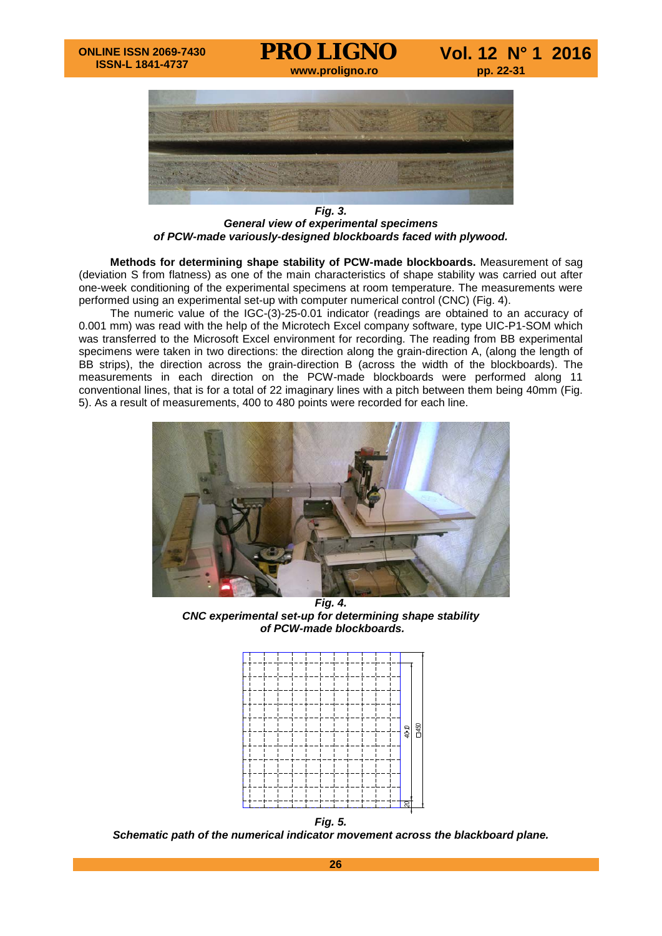

*Fig. 3. General view of experimental specimens of PCW-made variously-designed blockboards faced with plywood.* 

**Methods for determining shape stability of PCW-made blockboards.** Measurement of sag (deviation S from flatness) as one of the main characteristics of shape stability was carried out after one-week conditioning of the experimental specimens at room temperature. The measurements were performed using an experimental set-up with computer numerical control (CNC) (Fig. 4).

The numeric value of the IGC-(3)-25-0.01 indicator (readings are obtained to an accuracy of 0.001 mm) was read with the help of the Microtech Excel company software, type UIC-P1-SOM which was transferred to the Microsoft Excel environment for recording. The reading from BB experimental specimens were taken in two directions: the direction along the grain-direction A, (along the length of BB strips), the direction across the grain-direction B (across the width of the blockboards). The measurements in each direction on the PCW-made blockboards were performed along 11 conventional lines, that is for a total of 22 imaginary lines with a pitch between them being 40mm (Fig. 5). As a result of measurements, 400 to 480 points were recorded for each line.



*Fig. 4. CNC experimental set-up for determining shape stability of PCW-made blockboards.* 



*Fig. 5. Schematic path of the numerical indicator movement across the blackboard plane.*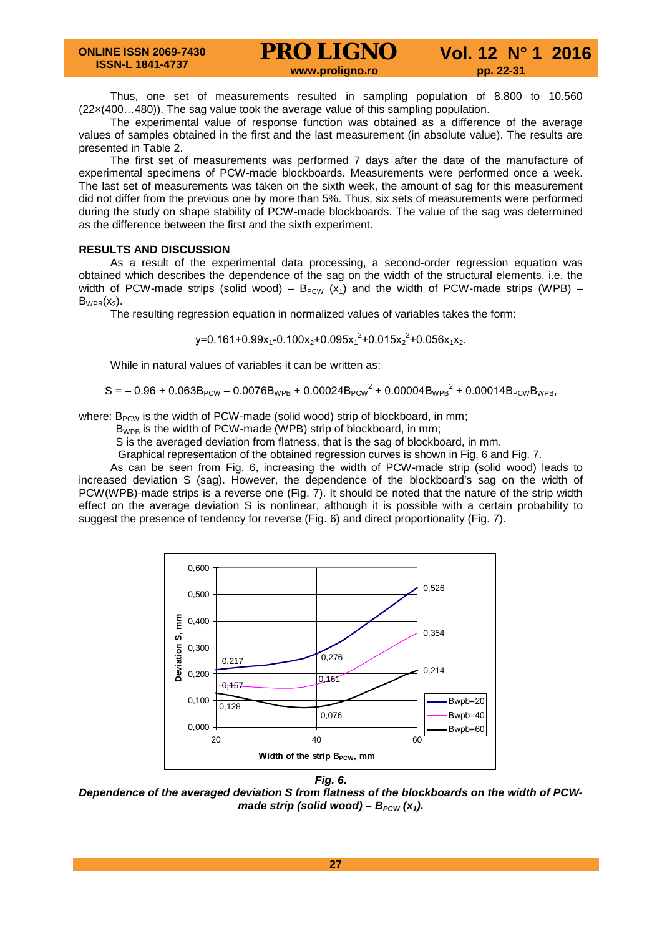Thus, one set of measurements resulted in sampling population of 8.800 to 10.560 (22×(400…480)). The sag value took the average value of this sampling population.

The experimental value of response function was obtained as a difference of the average values of samples obtained in the first and the last measurement (in absolute value). The results are presented in Table 2.

The first set of measurements was performed 7 days after the date of the manufacture of experimental specimens of PCW-made blockboards. Measurements were performed once a week. The last set of measurements was taken on the sixth week, the amount of sag for this measurement did not differ from the previous one by more than 5%. Thus, six sets of measurements were performed during the study on shape stability of PCW-made blockboards. The value of the sag was determined as the difference between the first and the sixth experiment.

## **RESULTS AND DISCUSSION**

As a result of the experimental data processing, a second-order regression equation was obtained which describes the dependence of the sag on the width of the structural elements, i.e. the width of PCW-made strips (solid wood) –  $B_{PCW}$  (x<sub>1</sub>) and the width of PCW-made strips (WPB) –  $B_{WPB}(x_2)$ .

The resulting regression equation in normalized values of variables takes the form:

 $y=0.161+0.99x_1-0.100x_2+0.095x_1^2+0.015x_2^2+0.056x_1x_2.$ 

While in natural values of variables it can be written as:

 $\text{S} = -0.96 + 0.063 \text{B}_{\text{PCW}} - 0.0076 \text{B}_{\text{WPB}} + 0.00024 \text{B}_{\text{PCW}}^2 + 0.00004 \text{B}_{\text{WPB}}^2 + 0.00014 \text{B}_{\text{PCW}} \text{B}_{\text{WPB}},$ 

where:  $B_{PCW}$  is the width of PCW-made (solid wood) strip of blockboard, in mm;

 $B_{WPB}$  is the width of PCW-made (WPB) strip of blockboard, in mm;

S is the averaged deviation from flatness, that is the sag of blockboard, in mm.

Graphical representation of the obtained regression curves is shown in Fig. 6 and Fig. 7.

As can be seen from Fig. 6, increasing the width of PCW-made strip (solid wood) leads to increased deviation S (sag). However, the dependence of the blockboard's sag on the width of PCW(WPB)-made strips is a reverse one (Fig. 7). It should be noted that the nature of the strip width effect on the average deviation S is nonlinear, although it is possible with a certain probability to suggest the presence of tendency for reverse (Fig. 6) and direct proportionality (Fig. 7).



*Fig. 6.* 

*Dependence of the averaged deviation S from flatness of the blockboards on the width of PCWmade strip (solid wood) –*  $B_{PCW}$  *(x<sub>1</sub>).*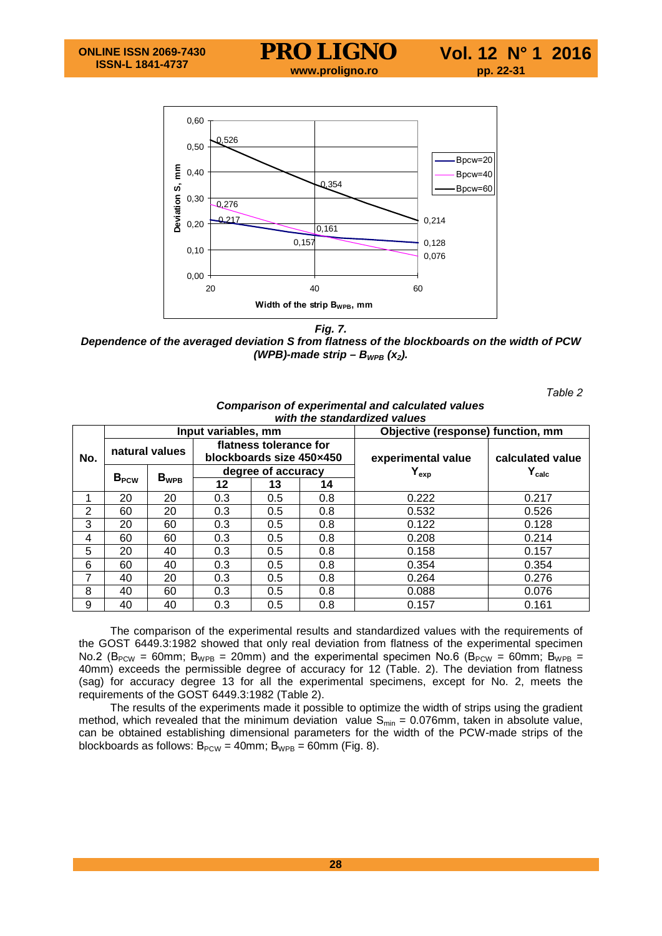

*Fig. 7. Dependence of the averaged deviation S from flatness of the blockboards on the width of PCW (WPB)-made strip –*  $B_{WPB}$  *(x<sub>2</sub>).* 

*Таble 2*

|                | <u>oompanoon or oxpormiontar and carediated values</u><br>with the standardized values |    |                                                    |     |                    |                                   |                  |                             |                    |  |                             |
|----------------|----------------------------------------------------------------------------------------|----|----------------------------------------------------|-----|--------------------|-----------------------------------|------------------|-----------------------------|--------------------|--|-----------------------------|
| No.            | Input variables, mm                                                                    |    |                                                    |     |                    | Objective (response) function, mm |                  |                             |                    |  |                             |
|                | natural values                                                                         |    | flatness tolerance for<br>blockboards size 450×450 |     | experimental value | calculated value                  |                  |                             |                    |  |                             |
|                |                                                                                        |    |                                                    |     |                    |                                   | B <sub>PCW</sub> | $\mathsf{B}_{\textsf{WPB}}$ | degree of accuracy |  | $\mathsf{Y}_{\textsf{exp}}$ |
|                | 12                                                                                     | 13 | 14                                                 |     |                    |                                   |                  |                             |                    |  |                             |
|                | 1                                                                                      | 20 | 20                                                 | 0.3 | 0.5                | 0.8                               | 0.222            | 0.217                       |                    |  |                             |
| $\overline{2}$ | 60                                                                                     | 20 | 0.3                                                | 0.5 | 0.8                | 0.532                             | 0.526            |                             |                    |  |                             |
| 3              | 20                                                                                     | 60 | 0.3                                                | 0.5 | 0.8                | 0.122                             | 0.128            |                             |                    |  |                             |
| 4              | 60                                                                                     | 60 | 0.3                                                | 0.5 | 0.8                | 0.208                             | 0.214            |                             |                    |  |                             |
| 5              | 20                                                                                     | 40 | 0.3                                                | 0.5 | 0.8                | 0.158                             | 0.157            |                             |                    |  |                             |
| 6              | 60                                                                                     | 40 | 0.3                                                | 0.5 | 0.8                | 0.354                             | 0.354            |                             |                    |  |                             |
| 7              | 40                                                                                     | 20 | 0.3                                                | 0.5 | 0.8                | 0.264                             | 0.276            |                             |                    |  |                             |
| 8              | 40                                                                                     | 60 | 0.3                                                | 0.5 | 0.8                | 0.088                             | 0.076            |                             |                    |  |                             |
| 9              | 40                                                                                     | 40 | 0.3                                                | 0.5 | 0.8                | 0.157                             | 0.161            |                             |                    |  |                             |

## *Comparison of experimental and calculated values*

The comparison of the experimental results and standardized values with the requirements of the GOST 6449.3:1982 showed that only real deviation from flatness of the experimental specimen No.2 ( $B_{PCW}$  = 60mm;  $B_{WPB}$  = 20mm) and the experimental specimen No.6 ( $B_{PCW}$  = 60mm;  $B_{WPB}$  = 40mm) exceeds the permissible degree of accuracy for 12 (Table. 2). The deviation from flatness (sag) for accuracy degree 13 for all the experimental specimens, except for No. 2, meets the requirements of the GOST 6449.3:1982 (Table 2).

The results of the experiments made it possible to optimize the width of strips using the gradient method, which revealed that the minimum deviation value  $S_{min} = 0.076$ mm, taken in absolute value, can be obtained establishing dimensional parameters for the width of the PCW-made strips of the blockboards as follows:  $B_{PCW} = 40$ mm;  $B_{WPB} = 60$ mm (Fig. 8).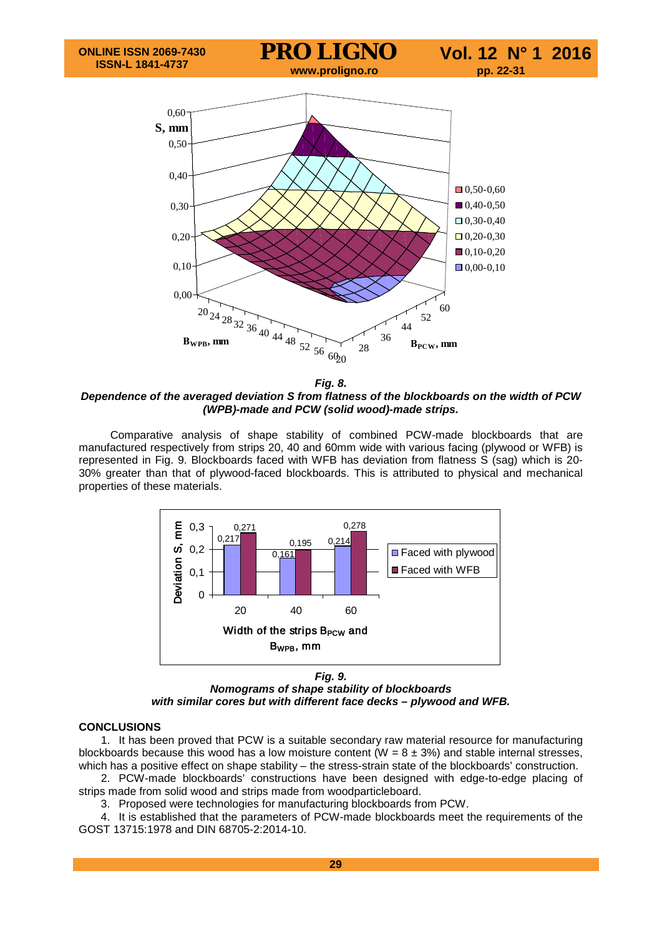

*Fig. 8.* 

*Dependence of the averaged deviation S from flatness of the blockboards on the width of PCW (WPB)-made and PCW (solid wood)-made strips.*

Comparative analysis of shape stability of combined PCW-made blockboards that are manufactured respectively from strips 20, 40 and 60mm wide with various facing (plywood or WFB) is represented in Fig. 9. Blockboards faced with WFB has deviation from flatness S (sag) which is 20- 30% greater than that of plywood-faced blockboards. This is attributed to physical and mechanical properties of these materials.



*Fig. 9. Nomograms of shape stability of blockboards with similar cores but with different face decks – plywood and WFB.*

#### **CONCLUSIONS**

1. It has been proved that PCW is a suitable secondary raw material resource for manufacturing blockboards because this wood has a low moisture content (W =  $8 \pm 3$ %) and stable internal stresses, which has a positive effect on shape stability – the stress-strain state of the blockboards' construction.

2. PCW-made blockboards' constructions have been designed with edge-to-edge placing of strips made from solid wood and strips made from woodparticleboard.

3. Proposed were technologies for manufacturing blockboards from PCW.

4. It is established that the parameters of PCW-made blockboards meet the requirements of the GOST 13715:1978 and DIN 68705-2:2014-10.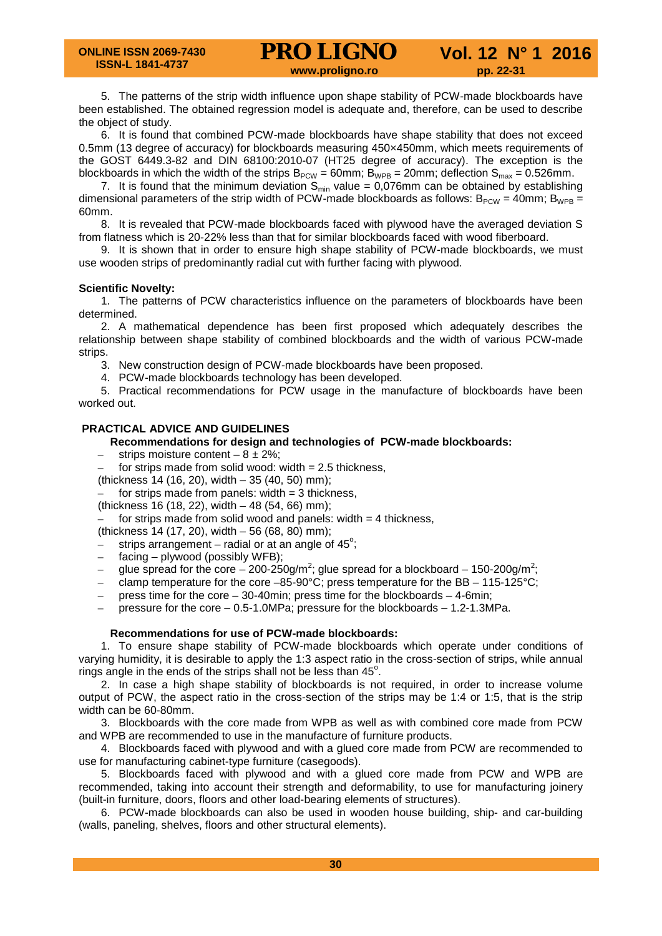5. The patterns of the strip width influence upon shape stability of PCW-made blockboards have been established. The obtained regression model is adequate and, therefore, can be used to describe the object of study.

6. It is found that combined PCW-made blockboards have shape stability that does not exceed 0.5mm (13 degree of accuracy) for blockboards measuring 450×450mm, which meets requirements of the GOST 6449.3-82 and DIN 68100:2010-07 (HT25 degree of accuracy). The exception is the blockboards in which the width of the strips  $B_{PCW} = 60$ mm;  $B_{WPB} = 20$ mm; deflection  $S_{max} = 0.526$ mm.

7. It is found that the minimum deviation  $S_{\text{min}}$  value = 0,076mm can be obtained by establishing dimensional parameters of the strip width of PCW-made blockboards as follows:  $B_{PCW} = 40$ mm;  $B_{WPB} =$ 60mm.

8. It is revealed that PCW-made blockboards faced with plywood have the averaged deviation S from flatness which is 20-22% less than that for similar blockboards faced with wood fiberboard.

9. It is shown that in order to ensure high shape stability of PCW-made blockboards, we must use wooden strips of predominantly radial cut with further facing with plywood.

## **Scientific Novelty:**

1. The patterns of PCW characteristics influence on the parameters of blockboards have been determined.

2. A mathematical dependence has been first proposed which adequately describes the relationship between shape stability of combined blockboards and the width of various PCW-made strips.

3. New construction design of PCW-made blockboards have been proposed.

4. PCW-made blockboards technology has been developed.

5. Practical recommendations for PCW usage in the manufacture of blockboards have been worked out.

## **PRACTICAL ADVICE AND GUIDELINES**

## **Recommendations for design and technologies of PCW-made blockboards:**

strips moisture content –  $8 \pm 2\%$ ;

for strips made from solid wood: width  $= 2.5$  thickness,

(thickness 14 (16, 20), width – 35 (40, 50) mm);

for strips made from panels: width  $=$  3 thickness,

(thickness 16 (18, 22), width – 48 (54, 66) mm);

for strips made from solid wood and panels: width  $=$  4 thickness,

(thickness 14 (17, 20), width – 56 (68, 80) mm);

 $-$  strips arrangement – radial or at an angle of 45 $^{\circ}$ ;

- facing plywood (possibly WFB);
- $-$  glue spread for the core 200-250g/m<sup>2</sup>; glue spread for a blockboard 150-200g/m<sup>2</sup>;
- clamp temperature for the core  $-85-90^{\circ}$ C; press temperature for the BB  $-115-125^{\circ}$ C;
- press time for the core  $-30-40$ min; press time for the blockboards  $-4-6$ min;
- pressure for the core  $-0.5$ -1.0MPa; pressure for the blockboards  $-1.2$ -1.3MPa.

#### **Recommendations for use of PCW-made blockboards:**

1. To ensure shape stability of PCW-made blockboards which operate under conditions of varying humidity, it is desirable to apply the 1:3 aspect ratio in the cross-section of strips, while annual rings angle in the ends of the strips shall not be less than  $45^\circ$ .

2. In case a high shape stability of blockboards is not required, in order to increase volume output of PCW, the aspect ratio in the cross-section of the strips may be 1:4 or 1:5, that is the strip width can be 60-80mm.

3. Blockboards with the core made from WPB as well as with combined core made from PCW and WPB are recommended to use in the manufacture of furniture products.

4. Blockboards faced with plywood and with a glued core made from PCW are recommended to use for manufacturing cabinet-type furniture (casegoods).

5. Blockboards faced with plywood and with a glued core made from PCW and WPB are recommended, taking into account their strength and deformability, to use for manufacturing joinery (built-in furniture, doors, floors and other load-bearing elements of structures).

6. PCW-made blockboards can also be used in wooden house building, ship- and car-building (walls, paneling, shelves, floors and other structural elements).